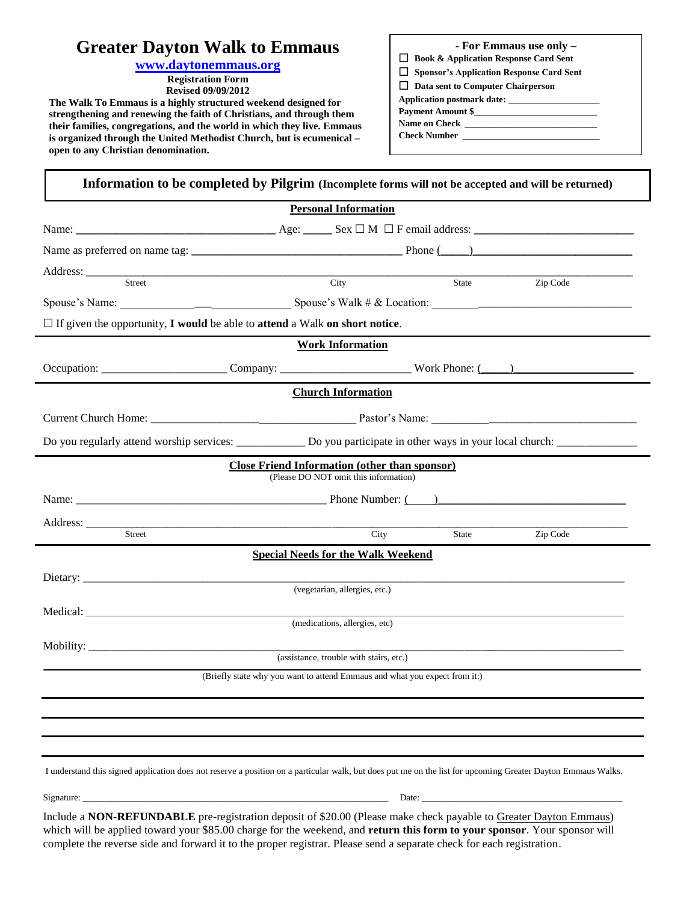## **Greater Dayton Walk to Emmaus**

## **[www.daytonemmaus.org](http://www.daytonemmaus.org/)**

**Registration Form Revised 09/09/2012**

**The Walk To Emmaus is a highly structured weekend designed for strengthening and renewing the faith of Christians, and through them their families, congregations, and the world in which they live. Emmaus is organized through the United Methodist Church, but is ecumenical – open to any Christian denomination.**

|  |  | - For Emmaus use only - |  |  |  |
|--|--|-------------------------|--|--|--|
|--|--|-------------------------|--|--|--|

 **Book & Application Response Card Sent**

 **Sponsor's Application Response Card Sent**

 **Data sent to Computer Chairperson**

**Application postmark date: \_\_\_\_\_\_\_\_\_\_\_\_\_\_\_\_\_\_\_\_**

| <b>Payment Amount \$_</b> |  |  |
|---------------------------|--|--|
|                           |  |  |

Name on Check

| <b>Check Number</b> |  |
|---------------------|--|
|                     |  |

| Information to be completed by Pilgrim (Incomplete forms will not be accepted and will be returned)                                                                                                                                  |                                                                            |                                                      |       |          |
|--------------------------------------------------------------------------------------------------------------------------------------------------------------------------------------------------------------------------------------|----------------------------------------------------------------------------|------------------------------------------------------|-------|----------|
|                                                                                                                                                                                                                                      |                                                                            | <b>Personal Information</b>                          |       |          |
|                                                                                                                                                                                                                                      |                                                                            |                                                      |       |          |
|                                                                                                                                                                                                                                      |                                                                            |                                                      |       |          |
| Address: <u>Street Street Street Street Street Street Street Street Street Street Street Street Street Street Street Street Street Street Street Street Street Street Street Street Street Street Street Street Street Street St</u> |                                                                            | City                                                 |       |          |
|                                                                                                                                                                                                                                      |                                                                            |                                                      | State | Zip Code |
|                                                                                                                                                                                                                                      |                                                                            |                                                      |       |          |
| $\Box$ If given the opportunity, I would be able to attend a Walk on short notice.                                                                                                                                                   |                                                                            |                                                      |       |          |
|                                                                                                                                                                                                                                      |                                                                            | <b>Work Information</b>                              |       |          |
|                                                                                                                                                                                                                                      |                                                                            |                                                      |       |          |
|                                                                                                                                                                                                                                      |                                                                            | <b>Church Information</b>                            |       |          |
|                                                                                                                                                                                                                                      |                                                                            |                                                      |       |          |
|                                                                                                                                                                                                                                      |                                                                            |                                                      |       |          |
|                                                                                                                                                                                                                                      |                                                                            | <b>Close Friend Information (other than sponsor)</b> |       |          |
|                                                                                                                                                                                                                                      |                                                                            | (Please DO NOT omit this information)                |       |          |
|                                                                                                                                                                                                                                      |                                                                            |                                                      |       |          |
| Street                                                                                                                                                                                                                               |                                                                            | City                                                 | State | Zip Code |
|                                                                                                                                                                                                                                      |                                                                            |                                                      |       |          |
|                                                                                                                                                                                                                                      |                                                                            | <b>Special Needs for the Walk Weekend</b>            |       |          |
|                                                                                                                                                                                                                                      |                                                                            | (vegetarian, allergies, etc.)                        |       |          |
|                                                                                                                                                                                                                                      |                                                                            |                                                      |       |          |
|                                                                                                                                                                                                                                      |                                                                            | (medications, allergies, etc)                        |       |          |
|                                                                                                                                                                                                                                      |                                                                            |                                                      |       |          |
|                                                                                                                                                                                                                                      |                                                                            | (assistance, trouble with stairs, etc.)              |       |          |
|                                                                                                                                                                                                                                      | (Briefly state why you want to attend Emmaus and what you expect from it:) |                                                      |       |          |
|                                                                                                                                                                                                                                      |                                                                            |                                                      |       |          |
|                                                                                                                                                                                                                                      |                                                                            |                                                      |       |          |
|                                                                                                                                                                                                                                      |                                                                            |                                                      |       |          |
| I understand this signed application does not reserve a position on a particular walk, but does put me on the list for upcoming Greater Dayton Emmaus Walks.                                                                         |                                                                            |                                                      |       |          |
|                                                                                                                                                                                                                                      |                                                                            |                                                      |       |          |
|                                                                                                                                                                                                                                      |                                                                            |                                                      |       |          |

Include a **NON-REFUNDABLE** pre-registration deposit of \$20.00 (Please make check payable to Greater Dayton Emmaus) which will be applied toward your \$85.00 charge for the weekend, and **return this form to your sponsor**. Your sponsor will complete the reverse side and forward it to the proper registrar. Please send a separate check for each registration.